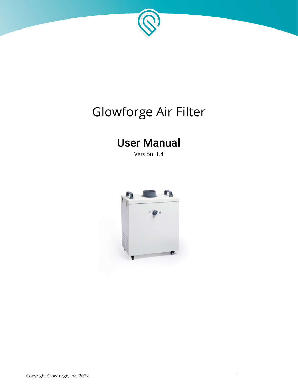

# Glowforge Air Filter

# User Manual

Version 1.4

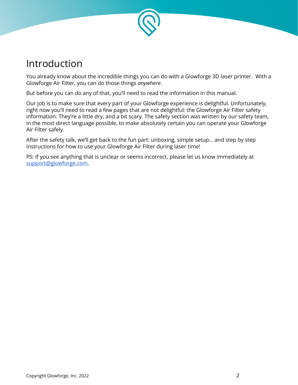

### Introduction

 You already know about the incredible things you can do with a Glowforge 3D laser printer. With a Glowforge Air Filter, you can do those things *anywhere* .

But before you can do any of that, you'll need to read the information in this manual.

 Our job is to make sure that every part of your Glowforge experience is delightful. Unfortunately, right now you'll need to read a few pages that are not delightful: the Glowforge Air Filter safety information. They're a little dry, and a bit scary. The safety section was written by our safety team, in the most direct language possible, to make absolutely certain you can operate your Glowforge Air Filter safely.

 After the safety talk, we'll get back to the fun part: unboxing, simple setup... and step by step instructions for how to use your Glowforge Air Filter during laser time!

 PS: If you see anything that is unclear or seems incorrect, please let us know immediately at  [support@glowforge.com](mailto:support@glowforge.com).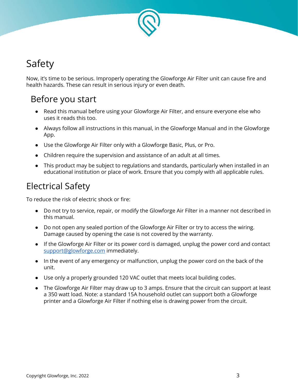

# Safety

 Now, it's time to be serious. Improperly operating the Glowforge Air Filter unit can cause fire and health hazards. These can result in serious injury or even death.

### Before you start

- Read this manual before using your Glowforge Air Filter, and ensure everyone else who uses it reads this too.
- Always follow all instructions in this manual, in the Glowforge Manual and in the Glowforge App.
- Use the Glowforge Air Filter only with a Glowforge Basic, Plus, or Pro.
- Children require the supervision and assistance of an adult at all times.
- This product may be subject to regulations and standards, particularly when installed in an educational institution or place of work. Ensure that you comply with all applicable rules.

### Electrical Safety

To reduce the risk of electric shock or fire:

- Do not try to service, repair, or modify the Glowforge Air Filter in a manner not described in this manual.
- Do not open any sealed portion of the Glowforge Air Filter or try to access the wiring. Damage caused by opening the case is not covered by the warranty.
- If the Glowforge Air Filter or its power cord is damaged, unplug the power cord and contact  [support@glowforge.com](mailto:support@glowforge.com) immediately.
- In the event of any emergency or malfunction, unplug the power cord on the back of the unit.
- Use only a properly grounded 120 VAC outlet that meets local building codes.
- The Glowforge Air Filter may draw up to 3 amps. Ensure that the circuit can support at least a 350 watt load. Note: a standard 15A household outlet can support both a Glowforge printer and a Glowforge Air Filter if nothing else is drawing power from the circuit.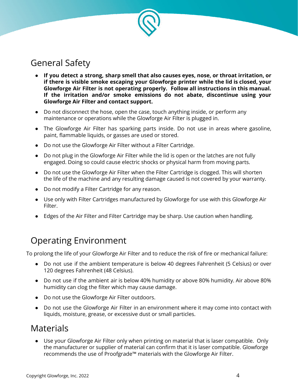

### General Safety

- **If you detect a strong, sharp smell that also causes eyes, nose, or throat irritation, or if there is visible smoke escaping your Glowforge printer while the lid is closed, your Glowforge Air Filter is not operating properly. Follow all instructions in this manual. If the irritation and/or smoke emissions do not abate, discontinue using your Glowforge Air Filter and contact support.**
- Do not disconnect the hose, open the case, touch anything inside, or perform any maintenance or operations while the Glowforge Air Filter is plugged in.
- The Glowforge Air Filter has sparking parts inside. Do not use in areas where gasoline, paint, flammable liquids, or gasses are used or stored.
- Do not use the Glowforge Air Filter without a Filter Cartridge.
- Do not plug in the Glowforge Air Filter while the lid is open or the latches are not fully engaged. Doing so could cause electric shocks or physical harm from moving parts.
- Do not use the Glowforge Air Filter when the Filter Cartridge is clogged. This will shorten the life of the machine and any resulting damage caused is not covered by your warranty.
- Do not modify a Filter Cartridge for any reason.
- Use only with Filter Cartridges manufactured by Glowforge for use with this Glowforge Air Filter.
- Edges of the Air Filter and Filter Cartridge may be sharp. Use caution when handling.

### Operating Environment

To prolong the life of your Glowforge Air Filter and to reduce the risk of fire or mechanical failure:

- Do not use if the ambient temperature is below 40 degrees Fahrenheit (5 Celsius) or over 120 degrees Fahrenheit (48 Celsius).
- Do not use if the ambient air is below 40% humidity or above 80% humidity. Air above 80% humidity can clog the filter which may cause damage.
- Do not use the Glowforge Air Filter outdoors.
- Do not use the Glowforge Air Filter in an environment where it may come into contact with liquids, moisture, grease, or excessive dust or small particles.

### Materials

 ● Use your Glowforge Air Filter only when printing on material that is laser compatible. Only the manufacturer or supplier of material can confirm that it is laser compatible. Glowforge recommends the use of Proofgrade™ materials with the Glowforge Air Filter.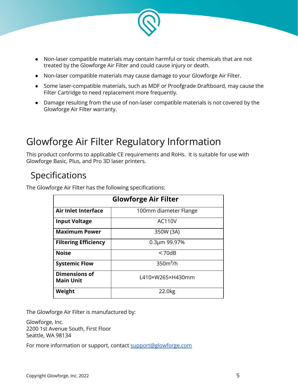

- Non-laser compatible materials may contain harmful or toxic chemicals that are not treated by the Glowforge Air Filter and could cause injury or death.
- Non-laser compatible materials may cause damage to your Glowforge Air Filter.
- Some laser-compatible materials, such as MDF or Proofgrade Draftboard, may cause the Filter Cartridge to need replacement more frequently.
- Damage resulting from the use of non-laser compatible materials is not covered by the Glowforge Air Filter warranty.

## Glowforge Air Filter Regulatory Information

 This product conforms to applicable CE requirements and RoHs. It is suitable for use with Glowforge Basic, Plus, and Pro 3D laser printers.

### Specifications

| <b>Glowforge Air Filter</b>              |                       |  |
|------------------------------------------|-----------------------|--|
| <b>Air Inlet Interface</b>               | 100mm diameter Flange |  |
| <b>Input Voltage</b>                     | AC110V                |  |
| <b>Maximum Power</b>                     | 350W (3A)             |  |
| <b>Filtering Efficiency</b>              | 0.3µm 99.97%          |  |
| <b>Noise</b>                             | < 70dB                |  |
| <b>Systemic Flow</b>                     | $350m^3/h$            |  |
| <b>Dimensions of</b><br><b>Main Unit</b> | L410×W265×H430mm      |  |
| Weight                                   | 22.0 <sub>kg</sub>    |  |

The Glowforge Air Filter has the following specifications:

The Glowforge Air Filter is manufactured by:

 Glowforge, Inc. 2200 1st Avenue South, First Floor Seattle, WA 98134

For more information or support, contact support@glowforge.com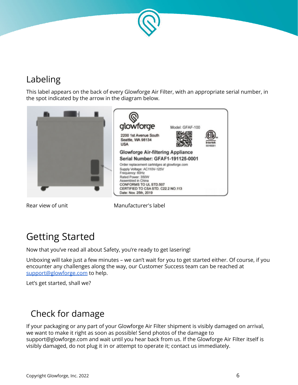

## Labeling

 This label appears on the back of every Glowforge Air Filter, with an appropriate serial number, in the spot indicated by the arrow in the diagram below.



Rear view of unit Manufacturer's label

## Getting Started

Now that you've read all about Safety, you're ready to get lasering!

 Unboxing will take just a few minutes – we can't wait for you to get started either. Of course, if you encounter any challenges along the way, our Customer Success team can be reached at support@glowforge.com to help.

Let's get started, shall we?

### Check for damage

 If your packaging or any part of your Glowforge Air Filter shipment is visibly damaged on arrival, we want to make it right as soon as possible! Send photos of the damage to support@glowforge.com and wait until you hear back from us. If the Glowforge Air Filter itself is visibly damaged, do not plug it in or attempt to operate it; contact us immediately.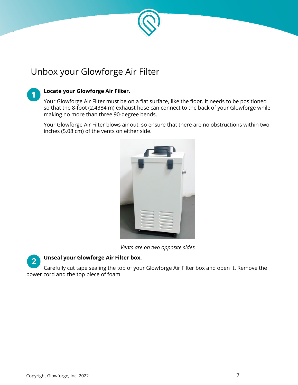

### Unbox your Glowforge Air Filter

### **Locate your Glowforge Air Filter.**

 Your Glowforge Air Filter must be on a flat surface, like the floor. It needs to be positioned so that the 8-foot (2.4384 m) exhaust hose can connect to the back of your Glowforge while making no more than three 90-degree bends.

 Your Glowforge Air Filter blows air out, so ensure that there are no obstructions within two inches (5.08 cm) of the vents on either side.



 *Vents are on two opposite sides* 



### **Unseal your Glowforge Air Filter box.**

 Carefully cut tape sealing the top of your Glowforge Air Filter box and open it. Remove the power cord and the top piece of foam.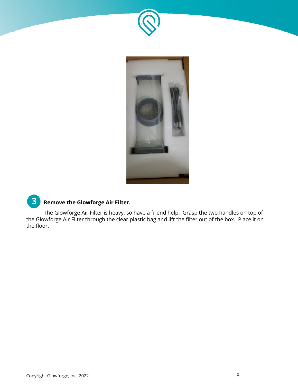



#### $3<sup>2</sup>$  **Remove the Glowforge Air Filter.**

 The Glowforge Air Filter is heavy, so have a friend help. Grasp the two handles on top of the Glowforge Air Filter through the clear plastic bag and lift the filter out of the box. Place it on the floor.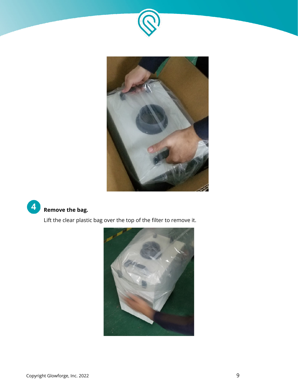





Lift the clear plastic bag over the top of the filter to remove it.

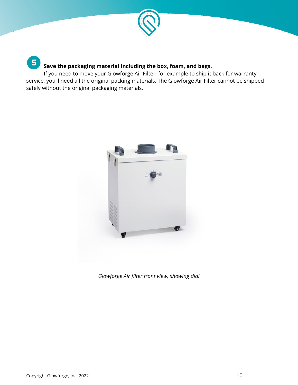

### **Save the packaging material including the box, foam, and bags.**

 If you need to move your Glowforge Air Filter, for example to ship it back for warranty service, you'll need all the original packing materials. The Glowforge Air Filter cannot be shipped safely without the original packaging materials.



 *Glowforge Air filter front view, showing dial* 

5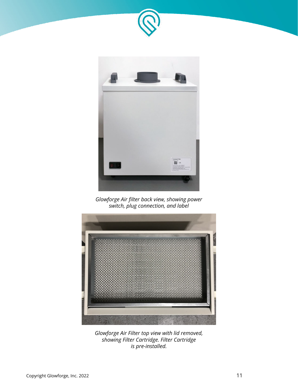



 *Glowforge Air filter back view, showing power switch, plug connection, and label* 



 *Glowforge Air Filter top view with lid removed, showing Filter Cartridge. Filter Cartridge is pre-installed.*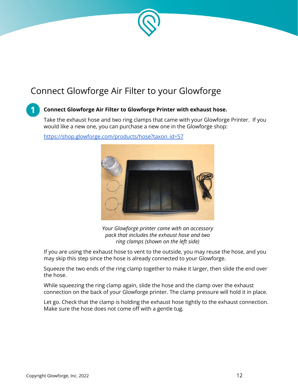

### Connect Glowforge Air Filter to your Glowforge

### **Connect Glowforge Air Filter to Glowforge Printer with exhaust hose.**

 Take the exhaust hose and two ring clamps that came with your Glowforge Printer. If you would like a new one, you can purchase a new one in the Glowforge shop:

https://shop.glowforge.com/products/hose?taxon\_id=57

 *Your Glowforge printer came with an accessory pack that includes the exhaust hose and two ring clamps (shown on the left side)* 

 If you are using the exhaust hose to vent to the outside, you may reuse the hose, and you may skip this step since the hose is already connected to your Glowforge.

 Squeeze the two ends of the ring clamp together to make it larger, then slide the end over the hose.

 While squeezing the ring clamp again, slide the hose and the clamp over the exhaust connection on the back of your Glowforge printer. The clamp pressure will hold it in place.

 Let go. Check that the clamp is holding the exhaust hose tightly to the exhaust connection. Make sure the hose does not come off with a gentle tug.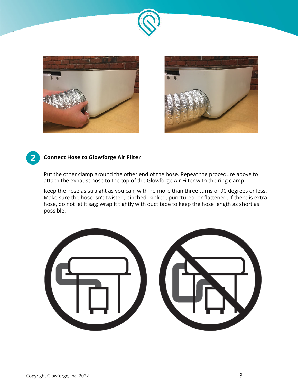





### **Connect Hose to Glowforge Air Filter**

 Put the other clamp around the other end of the hose. Repeat the procedure above to attach the exhaust hose to the top of the Glowforge Air Filter with the ring clamp.

 Keep the hose as straight as you can, with no more than three turns of 90 degrees or less. Make sure the hose isn't twisted, pinched, kinked, punctured, or flattened. If there is extra hose, do not let it sag; wrap it tightly with duct tape to keep the hose length as short as possible.

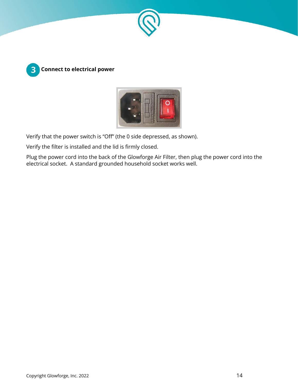





Verify that the power switch is "Off" (the 0 side depressed, as shown).

Verify the filter is installed and the lid is firmly closed.

 Plug the power cord into the back of the Glowforge Air Filter, then plug the power cord into the electrical socket. A standard grounded household socket works well.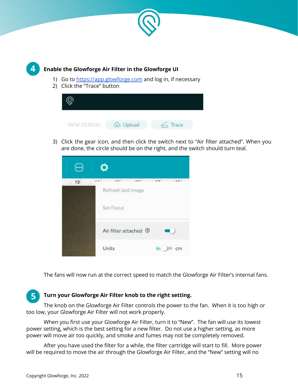



### **Enable the Glowforge Air Filter in the Glowforge UI**

- 1) Go to [https://app.glowforge.com](https://app.glowforge.com/) and log in, if necessary
- 2) Click the "Trace" button



 3) Click the gear icon, and then click the switch next to "Air filter attached". When you are done, the circle should be on the right, and the switch should turn teal.

|    | ✿                                                                                  |                                 |
|----|------------------------------------------------------------------------------------|---------------------------------|
| 13 | $\overline{1}$<br>$\overline{10}$<br>$\overline{\phantom{a}}$<br>Refresh bed image | $\rightarrow$<br>$\overline{1}$ |
|    | Set Focus                                                                          |                                 |
|    | Air filter attached <sup>7</sup>                                                   |                                 |
|    | Units                                                                              | in                              |

The fans will now run at the correct speed to match the Glowforge Air Filter's internal fans.

#### **Turn your Glowforge Air Filter knob to the right setting.**  5.

 The knob on the Glowforge Air Filter controls the power to the fan. When it is too high or too low, your Glowforge Air Filter will not work properly.

 When you first use your Glowforge Air Filter, turn it to "New". The fan will use its lowest power setting, which is the best setting for a new filter. Do not use a higher setting, as more power will move air too quickly, and smoke and fumes may not be completely removed.

 After you have used the filter for a while, the filter cartridge will start to fill. More power will be required to move the air through the Glowforge Air Filter, and the "New" setting will no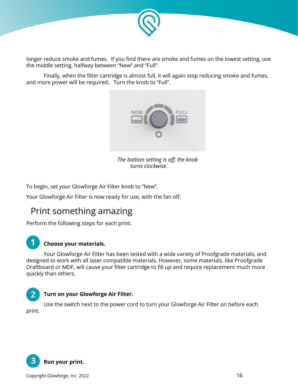

 longer reduce smoke and fumes. If you find there are smoke and fumes on the lowest setting, use the middle setting, halfway between "New" and "Full".

 Finally, when the filter cartridge is almost full, it will again stop reducing smoke and fumes, and more power will be required.. Turn the knob to "Full".



 *The bottom setting is off; the knob turns clockwise.* 

To begin, set your Glowforge Air Filter knob to "New".

Your Glowforge Air Filter is now ready for use, with the fan off.

### Print something amazing

Perform the following steps for each print.

### **Choose your materials.**

 Your Glowforge Air Filter has been tested with a wide variety of Proofgrade materials, and designed to work with all laser-compatible materials. However, some materials, like Proofgrade Draftboard or MDF, will cause your filter cartridge to fill up and require replacement much more quickly than others.

### **Turn on your Glowforge Air Filter.**

 Use the switch next to the power cord to turn your Glowforge Air Filter on before each print.

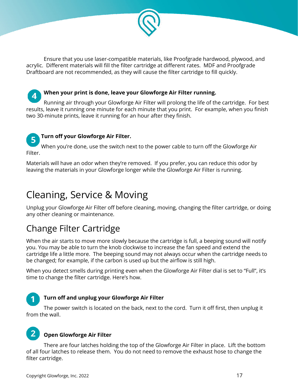

 Ensure that you use laser-compatible materials, like Proofgrade hardwood, plywood, and acrylic. Different materials will fill the filter cartridge at different rates. MDF and Proofgrade Draftboard are not recommended, as they will cause the filter cartridge to fill quickly.



### **When your print is done, leave your Glowforge Air Filter running.**

 Running air through your Glowforge Air Filter will prolong the life of the cartridge. For best results, leave it running one minute for each minute that you print. For example, when you finish two 30-minute prints, leave it running for an hour after they finish.

#### **Turn off your Glowforge Air Filter.**   $5<sub>1</sub>$

 When you're done, use the switch next to the power cable to turn off the Glowforge Air Filter.

 Materials will have an odor when they're removed. If you prefer, you can reduce this odor by leaving the materials in your Glowforge longer while the Glowforge Air Filter is running.

## Cleaning, Service & Moving

 Unplug your Glowforge Air Filter off before cleaning, moving, changing the filter cartridge, or doing any other cleaning or maintenance.

### Change Filter Cartridge

 When the air starts to move more slowly because the cartridge is full, a beeping sound will notify you. You may be able to turn the knob clockwise to increase the fan speed and extend the cartridge life a little more. The beeping sound may not always occur when the cartridge needs to be changed; for example, if the carbon is used up but the airflow is still high.

 When you detect smells during printing even when the Glowforge Air Filter dial is set to "Full", it's time to change the filter cartridge. Here's how.

### **Turn off and unplug your Glowforge Air Filter**

 The power switch is located on the back, next to the cord. Turn it off first, then unplug it from the wall.

#### $\overline{2}$  **Open Glowforge Air Filter**

 There are four latches holding the top of the Glowforge Air Filter in place. Lift the bottom of all four latches to release them. You do not need to remove the exhaust hose to change the filter cartridge.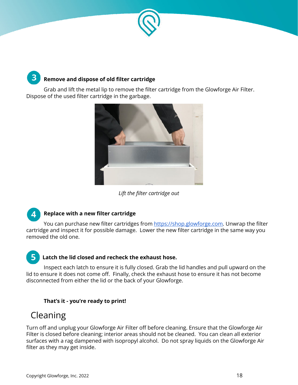

### **Remove and dispose of old filter cartridge**

 Grab and lift the metal lip to remove the filter cartridge from the Glowforge Air Filter. Dispose of the used filter cartridge in the garbage.



### *Lift the filter cartridge out*

#### $\mathbf{A}$  **Replace with a new filter cartridge**

You can purchase new filter cartridges from [https://shop.glowforge.com](https://shop.glowforge.com/). Unwrap the filter cartridge and inspect it for possible damage. Lower the new filter cartridge in the same way you removed the old one.

### **Latch the lid closed and recheck the exhaust hose.**

 Inspect each latch to ensure it is fully closed. Grab the lid handles and pull upward on the lid to ensure it does not come off. Finally, check the exhaust hose to ensure it has not become disconnected from either the lid or the back of your Glowforge.

### **That's it - you're ready to print!**

### Cleaning

 $\mathbf{3}$ 

 Turn off and unplug your Glowforge Air Filter off before cleaning. Ensure that the Glowforge Air Filter is closed before cleaning; interior areas should not be cleaned. You can clean all exterior surfaces with a rag dampened with isopropyl alcohol. Do not spray liquids on the Glowforge Air filter as they may get inside.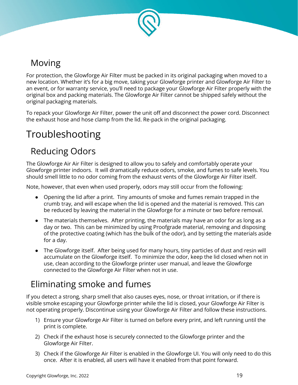

### Moving

 For protection, the Glowforge Air Filter must be packed in its original packaging when moved to a new location. Whether it's for a big move, taking your Glowforge printer and Glowforge Air Filter to an event, or for warranty service, you'll need to package your Glowforge Air Filter properly with the original box and packing materials. The Glowforge Air Filter cannot be shipped safely without the original packaging materials.

 To repack your Glowforge Air Filter, power the unit off and disconnect the power cord. Disconnect the exhaust hose and hose clamp from the lid. Re-pack in the original packaging.

# Troubleshooting

### Reducing Odors

 The Glowforge Air Air Filter is designed to allow you to safely and comfortably operate your Glowforge printer indoors. It will dramatically reduce odors, smoke, and fumes to safe levels. You should smell little to no odor coming from the exhaust vents of the Glowforge Air Filter itself.

Note, however, that even when used properly, odors may still occur from the following:

- Opening the lid after a print. Tiny amounts of smoke and fumes remain trapped in the crumb tray, and will escape when the lid is opened and the material is removed. This can be reduced by leaving the material in the Glowforge for a minute or two before removal.
- The materials themselves. After printing, the materials may have an odor for as long as a day or two. This can be minimized by using Proofgrade material, removing and disposing of the protective coating (which has the bulk of the odor), and by setting the materials aside for a day.
- The Glowforge itself. After being used for many hours, tiny particles of dust and resin will accumulate on the Glowforge itself. To minimize the odor, keep the lid closed when not in use, clean according to the Glowforge printer user manual, and leave the Glowforge connected to the Glowforge Air Filter when not in use.

### Eliminating smoke and fumes

 If you detect a strong, sharp smell that also causes eyes, nose, or throat irritation, or if there is visible smoke escaping your Glowforge printer while the lid is closed, your Glowforge Air Filter is not operating properly. Discontinue using your Glowforge Air Filter and follow these instructions.

- 1) Ensure your Glowforge Air Filter is turned on before every print, and left running until the print is complete.
- 2) Check if the exhaust hose is securely connected to the Glowforge printer and the Glowforge Air Filter.
- 3) Check if the Glowforge Air Filter is enabled in the Glowforge UI. You will only need to do this once. After it is enabled, all users will have it enabled from that point forward.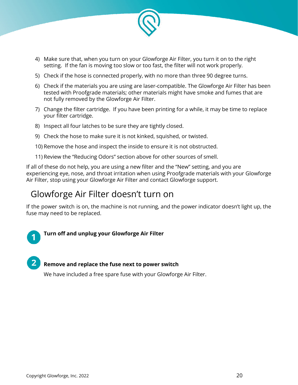

- 4) Make sure that, when you turn on your Glowforge Air Filter, you turn it on to the right setting. If the fan is moving too slow or too fast, the filter will not work properly.
- 5) Check if the hose is connected properly, with no more than three 90 degree turns.
- 6) Check if the materials you are using are laser-compatible. The Glowforge Air Filter has been tested with Proofgrade materials; other materials might have smoke and fumes that are not fully removed by the Glowforge Air Filter.
- 7) Change the filter cartridge. If you have been printing for a while, it may be time to replace your filter cartridge.
- 8) Inspect all four latches to be sure they are tightly closed.
- 9) Check the hose to make sure it is not kinked, squished, or twisted.
- 10) Remove the hose and inspect the inside to ensure it is not obstructed.
- 11) Review the "Reducing Odors" section above for other sources of smell.

 If all of these do not help, you are using a new filter and the "New" setting, and you are experiencing eye, nose, and throat irritation when using Proofgrade materials with your Glowforge Air Filter, stop using your Glowforge Air Filter and contact Glowforge support.

### Glowforge Air Filter doesn't turn on

 If the power switch is on, the machine is not running, and the power indicator doesn't light up, the fuse may need to be replaced.

### **Turn off and unplug your Glowforge Air Filter**

 **Remove and replace the fuse next to power switch** 

We have included a free spare fuse with your Glowforge Air Filter.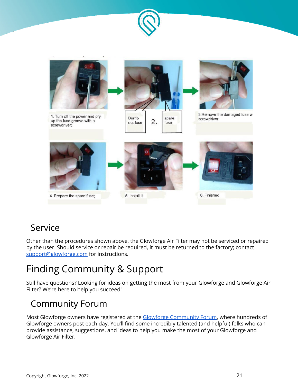



### Service

 Other than the procedures shown above, the Glowforge Air Filter may not be serviced or repaired by the user. Should service or repair be required, it must be returned to the factory; contact support@glowforge.com for instructions.

# Finding Community & Support

 Still have questions? Looking for ideas on getting the most from your Glowforge and Glowforge Air Filter? We're here to help you succeed!

### Community Forum

Most Glowforge owners have registered at the [Glowforge Community Forum,](https://community.glowforge.com/) where hundreds of Glowforge owners post each day. You'll find some incredibly talented (and helpful) folks who can provide assistance, suggestions, and ideas to help you make the most of your Glowforge and Glowforge Air Filter.